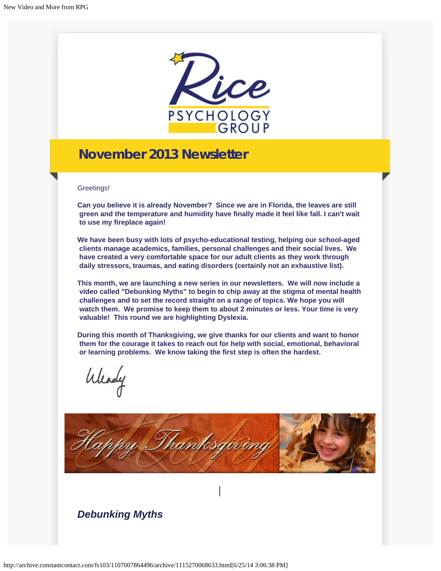

## **November 2013 Newsletter**

Greetings!

**Can you believe it is already November? Since we are in Florida, the leaves are still green and the temperature and humidity have finally made it feel like fall. I can't wait to use my fireplace again!**

**We have been busy with lots of psycho-educational testing, helping our school-aged clients manage academics, families, personal challenges and their social lives. We have created a very comfortable space for our adult clients as they work through daily stressors, traumas, and eating disorders (certainly not an exhaustive list).** 

**This month, we are launching a new series in our newsletters. We will now include a video called "Debunking Myths" to begin to chip away at the stigma of mental health challenges and to set the record straight on a range of topics. We hope you will watch them. We promise to keep them to about 2 minutes or less. Your time is very valuable! This round we are highlighting Dyslexia.**

**During this month of Thanksgiving, we give thanks for our clients and want to honor them for the courage it takes to reach out for help with social, emotional, behavioral or learning problems. We know taking the first step is often the hardest.**

Weady



*Debunking Myths*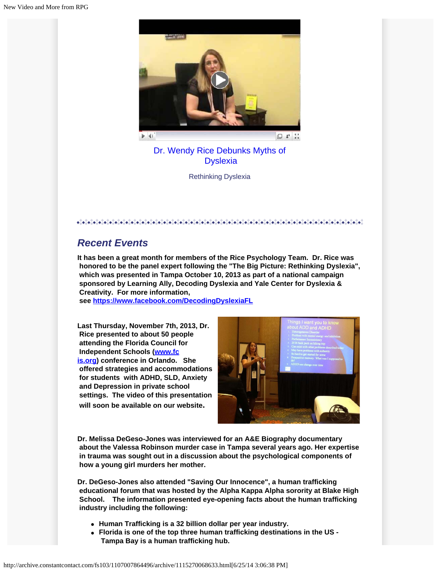

[Dr. Wendy Rice Debunks Myths of](http://www.youtube.com/watch?v=kZasnnBYbKo) **Dyslexia** 

Rethinking Dyslexia

 $\mathcal{L}(\mathcal{A},\mathcal{A})=\mathcal{L}(\mathcal{A},\mathcal{A})=\mathcal{L}(\mathcal{A},\mathcal{A})=\mathcal{L}(\mathcal{A},\mathcal{A})=\mathcal{L}(\mathcal{A},\mathcal{A})=\mathcal{L}(\mathcal{A},\mathcal{A})=\mathcal{L}(\mathcal{A},\mathcal{A})=\mathcal{L}(\mathcal{A},\mathcal{A})=\mathcal{L}(\mathcal{A},\mathcal{A})=\mathcal{L}(\mathcal{A},\mathcal{A})=\mathcal{L}(\mathcal{A},\mathcal{A})=\mathcal{L}(\mathcal{A},\mathcal{A})=\mathcal{$ 

## *Recent Events*

**It has been a great month for members of the Rice Psychology Team. Dr. Rice was honored to be the panel expert following the "The Big Picture: Rethinking Dyslexia", which was presented in Tampa October 10, 2013 as part of a national campaign sponsored by Learning Ally, Decoding Dyslexia and Yale Center for Dyslexia & Creativity. For more information,**

 **see <https://www.facebook.com/DecodingDyslexiaFL>**

**Last Thursday, November 7th, 2013, Dr. Rice presented to about 50 people attending the Florida Council for Independent Schools ([www.fc](http://www.fcis.org/?utm_source=November+2013+Newsletter&utm_campaign=Nov+2013+Newsletter&utm_medium=archive) [is.org](http://www.fcis.org/?utm_source=November+2013+Newsletter&utm_campaign=Nov+2013+Newsletter&utm_medium=archive)) conference in Orlando. She offered strategies and accommodations for students with ADHD, SLD, Anxiety and Depression in private school settings. The video of this presentation will soon be available on our website.**



**Dr. Melissa DeGeso-Jones was interviewed for an A&E Biography documentary about the Valessa Robinson murder case in Tampa several years ago. Her expertise in trauma was sought out in a discussion about the psychological components of how a young girl murders her mother.**

**Dr. DeGeso-Jones also attended "Saving Our Innocence", a human trafficking educational forum that was hosted by the Alpha Kappa Alpha sorority at Blake High School. The information presented eye-opening facts about the human trafficking industry including the following:**

- **Human Trafficking is a 32 billion dollar per year industry.**
- **Florida is one of the top three human trafficking destinations in the US - Tampa Bay is a human trafficking hub.**